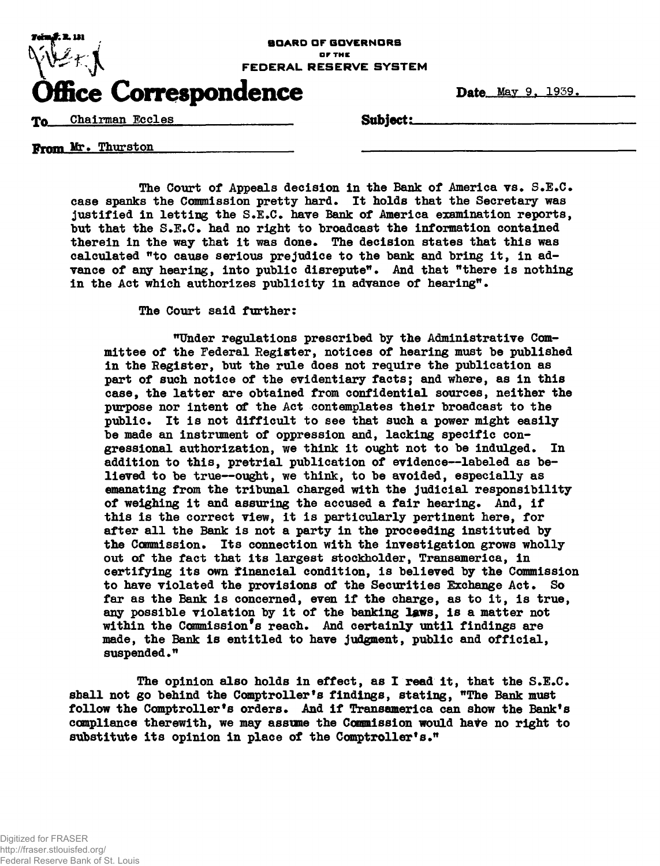

Date May 9, 1939.

Eccles Subject:

From Mr. Thurston

The Court of Appeals decision in the Bank of America vs. S.E.C. case spanks the Commission pretty hard. It holds that the Secretary was justified in letting the S.E.C. have Bank of America examination reports, but that the S.E.C. had no right to broadcast the information contained therein in the way that it was done. The decision states that this was calculated "to cause serious prejudice to the bank and bring it, in advance of any hearing, into public disrepute". And that "there is nothing in the Act which authorizes publicity in advance of hearing".

The Court said further:

"Under regulations prescribed by the Administrative Committee of the Federal Register, notices of hearing must be published in the Register, but the rule does not require the publication as part of such notice of the evidentiary facts; and where, as in this case, the latter are obtained from confidential sources, neither the purpose nor intent of the Act contemplates their broadcast to the public. It is not difficult to see that such a power might easily be made an instrument of oppression and, lacking specific congressional authorization, we think it ought not to be indulged. In addition to this, pretrial publication of evidence—labeled as believed to be true—ought, we think, to be avoided, especially as emanating from the tribunal charged with the judicial responsibility of weighing it and assuring the accused a fair hearing. And, if this is the correct view, it is particularly pertinent here, for after all the Bank is not a party in the proceeding instituted by the *Commission.* Its connection with the investigation grows wholly out of the fact that its largest stockholder, Transamerica, in certifying its own financial condition, is believed by the Commission to have violated the provisions of the Securities Exchange Act. So far as the Bank is concerned, even if the charge, as to it, is true, any possible violation by it of the banking laws, is a matter not within the Commission's reach. And certainly until findings are made, the Bank is entitled to have judgment, public and official, suspended."

The opinion also holds in effect, as I read it, that the  $S.E.C.$ shall not go behind the Comptroller's findings, stating, "The Bank must follow the Comptroller's orders. And if Transamerica can show the Bank's compliance therewith, we may assume the Commission would hate no right to substitute its opinion in place of the Comptroller's."